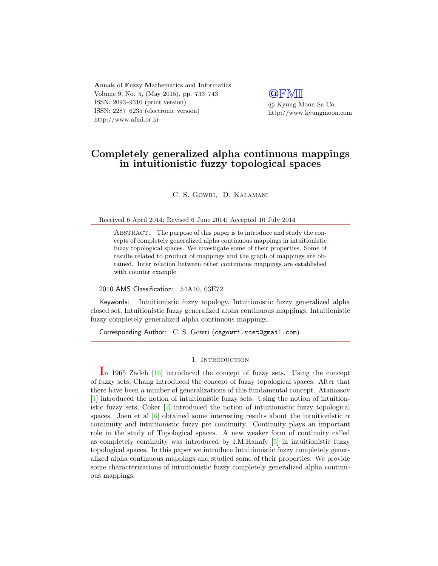**A**nnals of **F**uzzy **M**athematics and **I**nformatics Volume 9, No. 5, (May 2015), pp. 733–743 ISSN: 2093–9310 (print version) ISSN: 2287–6235 (electronic version) http://www.afmi.or.kr

**@**FMI *⃝*c Kyung Moon Sa Co. http://www.kyungmoon.com

# **Completely generalized alpha continuous mappings in intuitionistic fuzzy topological spaces**

C. S. Gowri, D. Kalamani

Received 6 April 2014; Revised 6 June 2014; Accepted 10 July 2014

ABSTRACT. The purpose of this paper is to introduce and study the concepts of completely generalized alpha continuous mappings in intuitionistic fuzzy topological spaces. We investigate some of their properties. Some of results related to product of mappings and the graph of mappings are obtained. Inter relation between other continuous mappings are established with counter example

2010 AMS Classification: 54A40, 03E72

Keywords: Intuitionistic fuzzy topology, Intuitionistic fuzzy generalized alpha closed set, Intuitionistic fuzzy generalized alpha continuous mappings, Intuitionistic fuzzy completely generalized alpha continuous mappings.

Corresponding Author: C. S. Gowri (csgowri.vcet@gmail.com)

### 1. INTRODUCTION

**I**n 1965 Zadeh [[16\]](#page-10-0) introduced the concept of fuzzy sets. Using the concept of fuzzy sets, Chang introduced the concept of fuzzy topological spaces. After that there have been a number of generalizations of this fundamental concept. Atanassov [\[1](#page-9-0)] introduced the notion of intuitionistic fuzzy sets. Using the notion of intuitionistic fuzzy sets, Coker [\[2](#page-9-1)] introduced the notion of intuitionistic fuzzy topological spaces. Joen et al  $\left[6\right]$  obtained some interesting results about the intuitionistic  $\alpha$ continuity and intuitionistic fuzzy pre continuity. Continuity plays an important role in the study of Topological spaces. A new weaker form of continuity called as completely continuity was introduced by I.M.Hanafy [\[5](#page-9-3)] in intuitionistic fuzzy topological spaces. In this paper we introduce Intuitionistic fuzzy completely generalized alpha continuous mappings and studied some of their properties. We provide some characterizations of intuitionistic fuzzy completely generalized alpha continuous mappings.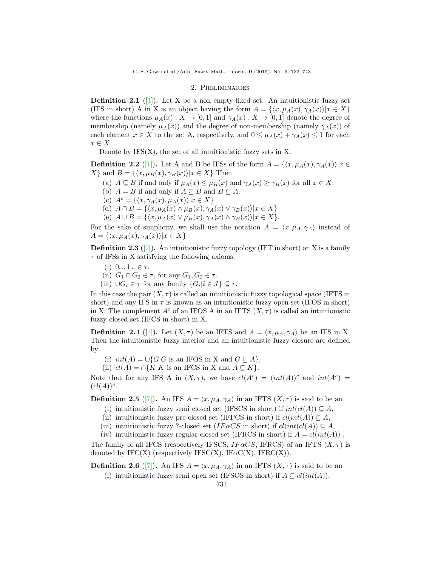### 2. Preliminaries

**Definition 2.1** ([\[1](#page-9-0)]). Let X be a non empty fixed set. An intuitionistic fuzzy set (IFS in short) A in X is an object having the form  $A = \{\langle x, \mu_A(x), \gamma_A(x) \rangle | x \in X\}$ where the functions  $\mu_A(x) : X \to [0,1]$  and  $\gamma_A(x) : X \to [0,1]$  denote the degree of membership (namely  $\mu_A(x)$ ) and the degree of non-membership (namely  $\gamma_A(x)$ ) of each element  $x \in X$  to the set A, respectively, and  $0 \leq \mu_A(x) + \gamma_A(x) \leq 1$  for each *x ∈ X*.

Denote by  $IFS(X)$ , the set of all intuitionistic fuzzy sets in X.

**Definition 2.2** ([\[1](#page-9-0)]). Let A and B be IFSs of the form  $A = \{(x, \mu_A(x), \gamma_A(x)) | x \in$  $X$ <sup>*}*</sup> and  $B = \{\langle x, \mu_B(x), \gamma_B(x)\rangle | x \in X\}$  Then

- (a)  $A \subseteq B$  if and only if  $\mu_A(x) \leq \mu_B(x)$  and  $\gamma_A(x) \geq \gamma_B(x)$  for all  $x \in X$ .
- (b)  $A = B$  if and only if  $A \subseteq B$  and  $B \subseteq A$ .
- $\{(c) \ A^c = \{\langle x, \gamma_A(x), \mu_A(x)\rangle | x \in X\}$
- $(A)$   $A \cap B = \{ \langle x, \mu_A(x) \land \mu_B(x), \gamma_A(x) \lor \gamma_B(x) \rangle | x \in X \}$
- $\mu(B)$   $A \cup B = \{ \langle x, \mu_A(x) \vee \mu_B(x), \gamma_A(x) \wedge \gamma_B(x) \rangle | x \in X \}.$

For the sake of simplicity, we shall use the notation  $A = \langle x, \mu_A, \gamma_A \rangle$  instead of  $A = \{\langle x, \mu_A(x), \gamma_A(x)\rangle | x \in X\}$ 

**Definition 2.3** ([\[2](#page-9-1)]). An intuitionistic fuzzy topology (IFT in short) on X is a family *τ* of IFSs in X satisfying the following axioms.

- (i) 0*∼,* 1*<sup>∼</sup> ∈ τ* .
- (ii)  $G_1 \cap G_2 \in \tau$ , for any  $G_1, G_2 \in \tau$ .
- $(iii) \cup G_i \in \tau$  for any family  $\{G_i | i \in J\} \subseteq \tau$ .

In this case the pair  $(X, \tau)$  is called an intuitionistic fuzzy topological space (IFTS in short) and any IFS in  $\tau$  is known as an intuitionistic fuzzy open set (IFOS in short) in X. The complement  $A^c$  of an IFOS A in an IFTS  $(X, \tau)$  is called an intuitionistic fuzzy closed set (IFCS in short) in X.

**Definition 2.4** ([[1\]](#page-9-0)). Let  $(X, \tau)$  be an IFTS and  $A = \langle x, \mu_A, \gamma_A \rangle$  be an IFS in X. Then the intuitionistic fuzzy interior and an intuitionistic fuzzy closure are defined by

(i)  $int(A) = \bigcup \{G | G$  is an IFOS in X and  $G \subseteq A\}$ ,

(ii)  $cl(A) = \bigcap \{K | K \text{ is an IFCS in X and } A \subseteq K\}.$ 

Note that for any IFS A in  $(X, \tau)$ , we have  $cl(A^c) = (int(A))^c$  and  $int(A^c) =$  $(cl(A))$ <sup>c</sup>.

**Definition 2.5** ([\[7](#page-9-4)]). An IFS  $A = \langle x, \mu_A, \gamma_A \rangle$  in an IFTS  $(X, \tau)$  is said to be an

- (i) intuitionistic fuzzy semi closed set (IFSCS in short) if  $int(cl(A)) \subseteq A$ ,
- (ii) intuitionistic fuzzy pre closed set (IFPCS in short) if  $cl(int(A)) \subseteq A$ ,
- (iii) intuitionistic fuzzy ?-closed set (*IF*  $\alpha CS$  in short) if  $cl(int(cl(A)) \subseteq A$ ,
- (iv) intuitionistic fuzzy regular closed set (IFRCS in short) if  $A = cl(int(A))$ .

The family of all IFCS (respectively IFSCS,  $IF \alpha CS$ , IFRCS) of an IFTS  $(X, \tau)$  is denoted by  $\text{IFC}(X)$  (respectively  $\text{IFSC}(X)$ ,  $\text{IFAC}(X)$ ,  $\text{IFRC}(X)$ ).

**Definition 2.6** ([\[7](#page-9-4)]). An IFS  $A = \langle x, \mu_A, \gamma_A \rangle$  in an IFTS  $(X, \tau)$  is said to be an

(i) intuitionistic fuzzy semi open set (IFSOS in short) if  $A \subseteq cl(int(A)),$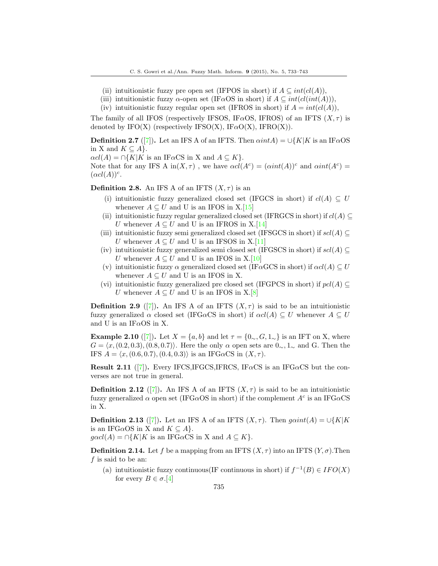- (ii) intuitionistic fuzzy pre open set (IFPOS in short) if  $A \subseteq int(cl(A))$ ,
- (iii) intuitionistic fuzzy  $\alpha$ -open set (IF $\alpha$ OS in short) if  $A \subseteq int(cl(int(A)))$ ,
- (iv) intuitionistic fuzzy regular open set (IFROS in short) if  $A = int(cl(A)),$

The family of all IFOS (respectively IFSOS, IF $\alpha$ OS, IFROS) of an IFTS  $(X, \tau)$  is denoted by  $\text{IFO}(X)$  (respectively IFSO(X),  $\text{IFaO}(X)$ ,  $\text{IFRO}(X)$ ).

**Definition 2.[7](#page-9-4)** ([7]). Let an IFS A of an IFTS. Then  $\alpha intA$ ) =  $\cup$ {*K*|*K* is an IF $\alpha$ OS in X and  $K \subseteq A$ .

 $\alpha c l(A) = \bigcap \{ K | K$  is an IF $\alpha$ CS in X and  $A \subseteq K \}$ .

Note that for any IFS A in $(X, \tau)$ , we have  $\alpha cl(A^c) = (\alpha int(A))^c$  and  $\alpha int(A^c) =$  $(\alpha cl(A))^c$ .

**Definition 2.8.** An IFS A of an IFTS  $(X, \tau)$  is an

- (i) intuitionistic fuzzy generalized closed set (IFGCS in short) if  $cl(A) \subseteq U$ whenever  $A \subseteq U$  and U is an IFOS in X.[\[15](#page-10-1)]
- (ii) intuitionistic fuzzy regular generalized closed set (IFRGCS in short) if  $cl(A) \subseteq$ *U* whenever  $A \subseteq U$  and *U* is an IFROS in X.[[14\]](#page-9-5)
- (iii) intuitionistic fuzzy semi generalized closed set (IFSGCS in short) if  $\mathit{scl}(A) \subseteq$ *U* whenever  $A \subseteq U$  and U is an IFSOS in X.[\[11](#page-9-6)]
- (iv) intuitionistic fuzzy generalized semi closed set (IFGSCS in short) if  $\mathfrak{sol}(A) \subseteq$ *U* whenever  $A \subseteq U$  and *U* is an IFOS in X.[\[10](#page-9-7)]
- (v) intuitionistic fuzzy  $\alpha$  generalized closed set (IF $\alpha$ GCS in short) if  $\alpha cl(A) \subseteq U$ whenever  $A \subseteq U$  and U is an IFOS in X.
- (vi) intuitionistic fuzzy generalized pre closed set (IFGPCS in short) if  $pcl(A) \subseteq$ *U* whenever  $A \subseteq U$  and U is an IFOS in X.[\[8](#page-9-8)]

**Definition 2.9** ([\[7](#page-9-4)]). An IFS A of an IFTS  $(X, \tau)$  is said to be an intuitionistic fuzzy generalized  $\alpha$  closed set (IFG $\alpha$ CS in short) if  $\alpha cl(A) \subseteq U$  whenever  $A \subseteq U$ and U is an IF*α*OS in X.

**Example 2.10** ([[7\]](#page-9-4)). Let  $X = \{a, b\}$  and let  $\tau = \{0, c, G, 1, c\}$  is an IFT on X, where  $G = \langle x, (0.2, 0.3), (0.8, 0.7) \rangle$ . Here the only  $\alpha$  open sets are  $0_{\sim}, 1_{\sim}$  and G. Then the IFS  $A = \langle x, (0.6, 0.7), (0.4, 0.3) \rangle$  is an IFG $\alpha$ CS in  $(X, \tau)$ .

**Result 2.11** ([\[7](#page-9-4)])**.** Every IFCS,IFGCS,IFRCS, IF*α*CS is an IFG*α*CS but the converses are not true in general.

**Definition 2.12** ([\[7](#page-9-4)]). An IFS A of an IFTS  $(X, \tau)$  is said to be an intuitionistic fuzzy generalized  $\alpha$  open set (IFG $\alpha$ OS in short) if the complement  $A^c$  is an IFG $\alpha$ CS in X.

**Definition 2.13** ([\[7](#page-9-4)]). Let an IFS A of an IFTS  $(X, \tau)$ . Then  $gain(A) = \bigcup \{K | K\}$ is an IFG $\alpha$ OS in X and  $K \subseteq A$ *}.* 

 $q\alpha c l(A) = \bigcap \{K | K \text{ is an IFG}\alpha C \text{S in X and } A \subseteq K\}.$ 

**Definition 2.14.** Let f be a mapping from an IFTS  $(X, \tau)$  into an IFTS  $(Y, \sigma)$ . Then *f* is said to be an:

(a) intuitionistic fuzzy continuous(IF continuous in short) if  $f^{-1}(B) \in IFO(X)$ for every  $B \in \sigma$ .[[4\]](#page-9-9)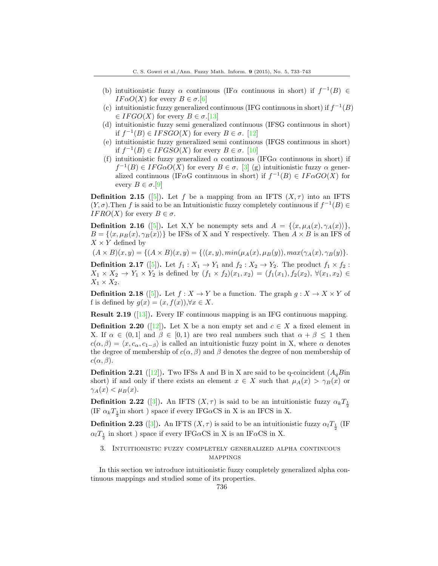- (b) intuitionistic fuzzy  $\alpha$  continuous (IF $\alpha$  continuous in short) if  $f^{-1}(B) \in$ *IF* $\alpha$ *O*(*X*) for every *B*  $\in \sigma$ .[\[6](#page-9-2)]
- (c) intuitionistic fuzzy generalized continuous (IFG continuous in short) if  $f^{-1}(B)$  $∈$  *IFGO*(*X*) for every *B*  $∈$  *σ*.[[13\]](#page-9-10)
- (d) intuitionistic fuzzy semi generalized continuous (IFSG continuous in short) if  $f^{-1}(B) ∈ IFSGO(X)$  for every  $B ∈ σ$ . [\[12](#page-9-11)]
- (e) intuitionistic fuzzy generalized semi continuous (IFGS continuous in short) if  $f^{-1}(B) ∈ IFGSO(X)$  for every  $B ∈ σ$ . [\[10](#page-9-7)]
- (f) intuitionistic fuzzy generalized  $\alpha$  continuous (IFG $\alpha$  continuous in short) if  $f^{-1}(B) \in IFG\alpha O(X)$  for every  $B \in \sigma$ . [[3\]](#page-9-12) (g) intuitionistic fuzzy  $\alpha$  generalized continuous (IF $\alpha$ G continuous in short) if  $f^{-1}(B) \in \text{IF}\alpha$  *GO*(*X*) for every  $B \in \sigma$ .[\[9](#page-9-13)]

**Definition 2.15** ([\[5](#page-9-3)]). Let *f* be a mapping from an IFTS  $(X, \tau)$  into an IFTS  $(Y, \sigma)$ . Then *f* is said to be an Intuitionistic fuzzy completely continuous if  $f^{-1}(B) \in$ *IFRO*(*X*) for every  $B \in \sigma$ .

**Definition 2.16** ([[5\]](#page-9-3)). Let X,Y be nonempty sets and  $A = \{(x, \mu_A(x), \gamma_A(x))\}$ ,  $B = \{\langle x, \mu_B(x), \gamma_B(x) \rangle\}$  be IFSs of X and Y respectively. Then  $A \times B$  is an IFS of  $X \times Y$  defined by

 $(A \times B)(x, y) = \{(A \times B)(x, y) = \{ \langle (x, y), min(\mu_A(x), \mu_B(y)), max(\gamma_A(x), \gamma_B(y) \} \rangle\}.$ 

**Definition 2.17** ([\[5](#page-9-3)]). Let  $f_1: X_1 \to Y_1$  and  $f_2: X_2 \to Y_2$ . The product  $f_1 \times f_2$ :  $X_1 \times X_2 \to Y_1 \times Y_2$  is defined by  $(f_1 \times f_2)(x_1, x_2) = (f_1(x_1), f_2(x_2), \forall (x_1, x_2) \in$  $X_1 \times X_2$ .

**Definition 2.18** ([[5\]](#page-9-3)). Let  $f : X \to Y$  be a function. The graph  $g : X \to X \times Y$  of f is defined by  $g(x) = (x, f(x))$ , $\forall x \in X$ .

**Result 2.19** ([[13\]](#page-9-10)). Every IF continuous mapping is an IFG continuous mapping.

**Definition 2.20** ([[12](#page-9-11)]). Let X be a non empty set and  $c \in X$  a fixed element in X. If  $\alpha \in (0,1]$  and  $\beta \in [0,1)$  are two real numbers such that  $\alpha + \beta \leq 1$  then  $c(\alpha, \beta) = \langle x, c_{\alpha}, c_{1-\beta} \rangle$  is called an intuitionistic fuzzy point in X, where  $\alpha$  denotes the degree of membership of  $c(\alpha, \beta)$  and  $\beta$  denotes the degree of non membership of  $c(\alpha, \beta)$ .

**Definition 2.21** ([\[12](#page-9-11)]). Two IFSs A and B in X are said to be q-coincident  $(A<sub>a</sub>B$ in short) if and only if there exists an element  $x \in X$  such that  $\mu_A(x) > \gamma_B(x)$  or  $\gamma_A(x) < \mu_B(x)$ .

**Definition 2.22** ([[3\]](#page-9-12)). An IFTS  $(X, \tau)$  is said to be an intuitionistic fuzzy  $\alpha_k T_{\frac{1}{2}}$ (IF  $\alpha_k T_{\frac{1}{2}}$ in short ) space if every IFG $\alpha$ CS in X is an IFCS in X.

**Definition 2.23** ([[3\]](#page-9-12)). An IFTS  $(X, \tau)$  is said to be an intuitionistic fuzzy  $\alpha_l T_{\frac{1}{2}}$  (IF  $α$ <sup>*l*</sup><sub> $\frac{1}{2}$ </sub> in short ) space if every IFG*α*CS in X is an IF*α*CS in X.

## 3. Intuitionistic fuzzy completely generalized alpha continuous mappings

In this section we introduce intuitionistic fuzzy completely generalized alpha continuous mappings and studied some of its properties.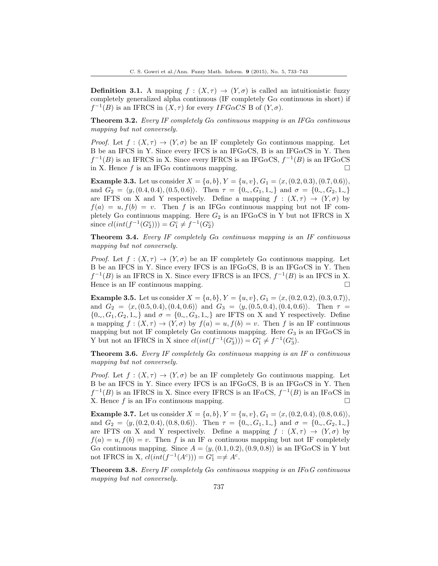**Definition 3.1.** A mapping  $f : (X, \tau) \to (Y, \sigma)$  is called an intuitionistic fuzzy completely generalized alpha continuous (IF completely G*α* continuous in short) if  $f^{-1}(B)$  is an IFRCS in  $(X, \tau)$  for every *IFGaCS* B of  $(Y, \sigma)$ .

**Theorem 3.2.** *Every IF completely Gα continuous mapping is an IFGα continuous mapping but not conversely.*

*Proof.* Let  $f: (X, \tau) \to (Y, \sigma)$  be an IF completely G $\alpha$  continuous mapping. Let B be an IFCS in Y. Since every IFCS is an IFG*α*CS, B is an IFG*α*CS in Y. Then  $f^{-1}(B)$  is an IFRCS in X. Since every IFRCS is an IFG $\alpha$ CS,  $f^{-1}(B)$  is an IFG $\alpha$ CS in X. Hence *f* is an IFG $\alpha$  continuous mapping.  $\Box$ 

**Example 3.3.** Let us consider  $X = \{a, b\}$ ,  $Y = \{u, v\}$ ,  $G_1 = \langle x, (0.2, 0.3), (0.7, 0.6) \rangle$ , and  $G_2 = \langle y, (0.4, 0.4), (0.5, 0.6) \rangle$ . Then  $\tau = \{0, G_1, 1, \ldots\}$  and  $\sigma = \{0, G_2, 1, \ldots\}$ are IFTS on X and Y respectively. Define a mapping  $f : (X, \tau) \to (Y, \sigma)$  by  $f(a) = u, f(b) = v$ . Then *f* is an IFG $\alpha$  continuous mapping but not IF completely  $G\alpha$  continuous mapping. Here  $G_2$  is an IFG $\alpha$ CS in Y but not IFRCS in X since  $cl(int(f^{-1}(G_2^c))) = G_1^c \neq f^{-1}(G_2^c)$ 

**Theorem 3.4.** *Every IF completely Gα continuous mapping is an IF continuous mapping but not conversely.*

*Proof.* Let  $f: (X, \tau) \to (Y, \sigma)$  be an IF completely G $\alpha$  continuous mapping. Let B be an IFCS in Y. Since every IFCS is an IFG*α*CS, B is an IFG*α*CS in Y. Then  $f^{-1}(B)$  is an IFRCS in X. Since every IFRCS is an IFCS,  $f^{-1}(B)$  is an IFCS in X. Hence is an IF continuous mapping.  $\Box$ 

**Example 3.5.** Let us consider  $X = \{a, b\}$ ,  $Y = \{u, v\}$ ,  $G_1 = \langle x, (0.2, 0.2), (0.3, 0.7) \rangle$ , and  $G_2 = \langle x, (0.5, 0.4), (0.4, 0.6) \rangle$  and  $G_3 = \langle y, (0.5, 0.4), (0.4, 0.6) \rangle$ . Then  $\tau =$ *{*0∠*, G*<sub>1</sub>*, G*<sub>2</sub>*,* 1∠*}* and  $\sigma = \{0, 0, G_3, 1, 0\}$  are IFTS on X and Y respectively. Define a mapping  $f : (X, \tau) \to (Y, \sigma)$  by  $f(a) = u, f(b) = v$ . Then *f* is an IF continuous mapping but not IF completely  $G\alpha$  continuous mapping. Here  $G_3$  is an IFG $\alpha$ CS in Y but not an IFRCS in X since  $cl(int(f^{-1}(G_3^c))) = G_1^c \neq f^{-1}(G_3^c)$ .

**Theorem 3.6.** *Every IF completely Gα continuous mapping is an IF α continuous mapping but not conversely.*

*Proof.* Let  $f : (X, \tau) \to (Y, \sigma)$  be an IF completely  $G\alpha$  continuous mapping. Let B be an IFCS in Y. Since every IFCS is an IFG*α*CS, B is an IFG*α*CS in Y. Then  $f^{-1}(B)$  is an IFRCS in X. Since every IFRCS is an IF*α*CS,  $f^{-1}(B)$  is an IF*α*CS in X. Hence *f* is an IF $\alpha$  continuous mapping.  $\Box$ 

**Example 3.7.** Let us consider  $X = \{a, b\}$ ,  $Y = \{u, v\}$ ,  $G_1 = \langle x, (0.2, 0.4), (0.8, 0.6) \rangle$ , and  $G_2 = \langle y, (0.2, 0.4), (0.8, 0.6) \rangle$ . Then  $\tau = \{0, G_1, 1, \ldots\}$  and  $\sigma = \{0, G_2, 1, \ldots\}$ are IFTS on X and Y respectively. Define a mapping  $f : (X, \tau) \to (Y, \sigma)$  by  $f(a) = u, f(b) = v$ . Then *f* is an IF  $\alpha$  continuous mapping but not IF completely  $G\alpha$  continuous mapping. Since  $A = \langle y, (0.1, 0.2), (0.9, 0.8) \rangle$  is an IFG $\alpha$ CS in Y but not IFRCS in X,  $cl(int(f^{-1}(A^c))) = G_1^c = \neq A^c$ .

**Theorem 3.8.** *Every IF completely Gα continuous mapping is an IFαG continuous mapping but not conversely.*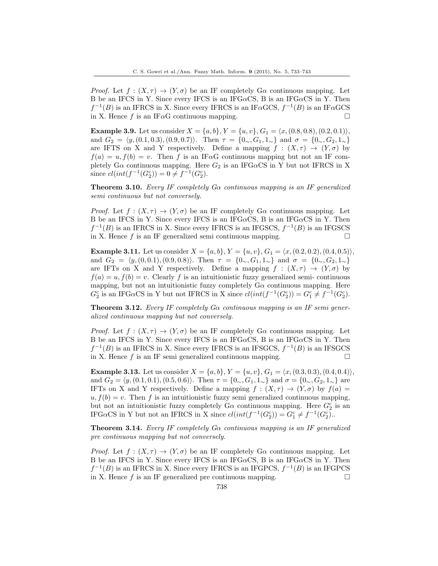*Proof.* Let  $f: (X, \tau) \to (Y, \sigma)$  be an IF completely G $\alpha$  continuous mapping. Let B be an IFCS in Y. Since every IFCS is an IFG*α*CS, B is an IFG*α*CS in Y. Then  $f^{-1}(B)$  is an IFRCS in X. Since every IFRCS is an IF*α*GCS,  $f^{-1}(B)$  is an IF*α*GCS in X. Hence *f* is an IF $\alpha$ G continuous mapping. □

**Example 3.9.** Let us consider  $X = \{a, b\}$ ,  $Y = \{u, v\}$ ,  $G_1 = \langle x, (0.8, 0.8), (0.2, 0.1) \rangle$ , and  $G_2 = \langle y, (0.1, 0.3), (0.9, 0.7) \rangle$ . Then  $\tau = \{0, G_1, 1, \ldots\}$  and  $\sigma = \{0, G_2, 1, \ldots\}$ are IFTS on X and Y respectively. Define a mapping  $f : (X, \tau) \to (Y, \sigma)$  by  $f(a) = u, f(b) = v$ . Then *f* is an IF*α*G continuous mapping but not an IF completely  $G\alpha$  continuous mapping. Here  $G_2$  is an IFG $\alpha$ CS in Y but not IFRCS in X since  $cl(int(f^{-1}(G_2^c)) = 0 \neq f^{-1}(G_2^c)$ .

**Theorem 3.10.** *Every IF completely Gα continuous mapping is an IF generalized semi continuous but not conversely.*

*Proof.* Let  $f : (X, \tau) \to (Y, \sigma)$  be an IF completely  $G\alpha$  continuous mapping. Let B be an IFCS in Y. Since every IFCS is an IFG*α*CS, B is an IFG*α*CS in Y. Then  $f^{-1}(B)$  is an IFRCS in X. Since every IFRCS is an IFGSCS,  $f^{-1}(B)$  is an IFGSCS in X. Hence  $f$  is an IF generalized semi continuous mapping.  $\Box$ 

**Example 3.11.** Let us consider  $X = \{a, b\}$ ,  $Y = \{u, v\}$ ,  $G_1 = \langle x, (0.2, 0.2), (0.4, 0.5) \rangle$ , and  $G_2 = \langle y, (0,0.1), (0.9,0.8) \rangle$ . Then  $\tau = \{0, G_1, 1, \ldots\}$  and  $\sigma = \{0, G_2, 1, \ldots\}$ are IFTs on X and Y respectively. Define a mapping  $f : (X, \tau) \to (Y, \sigma)$  by  $f(a) = u, f(b) = v$ . Clearly *f* is an intuitionistic fuzzy generalized semi- continuous mapping, but not an intuitionistic fuzzy completely  $G\alpha$  continuous mapping. Here  $G_2^c$  is an IFG $\alpha$ CS in Y but not IFRCS in X since  $cl(int(f^{-1}(G_2^c)) = G_1^c \neq f^{-1}(G_2^c)$ .

**Theorem 3.12.** *Every IF completely Gα continuous mapping is an IF semi generalized continuous mapping but not conversely.*

*Proof.* Let  $f : (X, \tau) \to (Y, \sigma)$  be an IF completely  $G\alpha$  continuous mapping. Let B be an IFCS in Y. Since every IFCS is an IFG*α*CS, B is an IFG*α*CS in Y. Then  $f^{-1}(B)$  is an IFRCS in X. Since every IFRCS is an IFSGCS,  $f^{-1}(B)$  is an IFSGCS in X. Hence  $f$  is an IF semi generalized continuous mapping.  $\Box$ 

**Example 3.13.** Let us consider  $X = \{a, b\}$ ,  $Y = \{u, v\}$ ,  $G_1 = \langle x, (0.3, 0.3), (0.4, 0.4) \rangle$ , and  $G_2 = \langle y, (0.1, 0.1), (0.5, 0.6) \rangle$ . Then  $\tau = \{0, G_1, 1, \ldots\}$  and  $\sigma = \{0, G_2, 1, \ldots\}$  are IFTs on X and Y respectively. Define a mapping  $f : (X, \tau) \to (Y, \sigma)$  by  $f(a) =$  $u, f(b) = v$ . Then *f* is an intuitionistic fuzzy semi generalized continuous mapping, but not an intuitionistic fuzzy completely  $G\alpha$  continuous mapping. Here  $G_2^c$  is an IFG $\alpha$ CS in Y but not an IFRCS in X since  $cl(int(f^{-1}(G_2^c)) = G_1^c \neq f^{-1}(G_2^c)$ .

**Theorem 3.14.** *Every IF completely Gα continuous mapping is an IF generalized pre continuous mapping but not conversely.*

*Proof.* Let  $f : (X, \tau) \to (Y, \sigma)$  be an IF completely G $\alpha$  continuous mapping. Let B be an IFCS in Y. Since every IFCS is an IFG*α*CS, B is an IFG*α*CS in Y. Then  $f^{-1}(B)$  is an IFRCS in X. Since every IFRCS is an IFGPCS,  $f^{-1}(B)$  is an IFGPCS in X. Hence  $f$  is an IF generalized pre continuous mapping.  $\Box$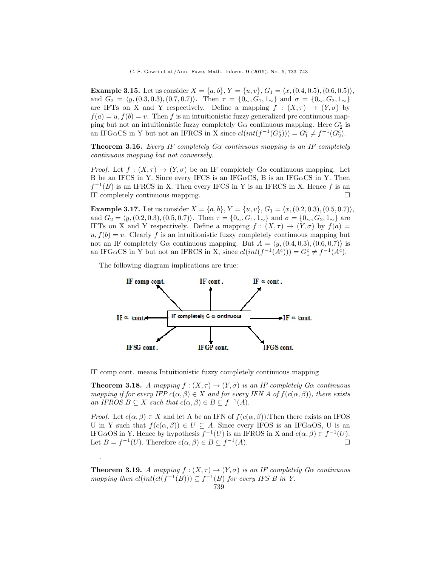**Example 3.15.** Let us consider  $X = \{a, b\}$ ,  $Y = \{u, v\}$ ,  $G_1 = \langle x, (0.4, 0.5), (0.6, 0.5) \rangle$ , and  $G_2 = \langle y, (0.3, 0.3), (0.7, 0.7) \rangle$ . Then  $\tau = \{0, G_1, 1, \ldots\}$  and  $\sigma = \{0, G_2, 1, \ldots\}$ are IFTs on X and Y respectively. Define a mapping  $f : (X, \tau) \to (Y, \sigma)$  by  $f(a) = u, f(b) = v$ . Then *f* is an intuitionistic fuzzy generalized pre continuous mapping but not an intuitionistic fuzzy completely  $G\alpha$  continuous mapping. Here  $G_2^c$  is an IFG $\alpha$ CS in Y but not an IFRCS in X since  $cl(int(f^{-1}(G_2^c))) = G_1^c \neq f^{-1}(G_2^c)$ .

**Theorem 3.16.** *Every IF completely Gα continuous mapping is an IF completely continuous mapping but not conversely.*

*Proof.* Let  $f: (X, \tau) \to (Y, \sigma)$  be an IF completely G $\alpha$  continuous mapping. Let B be an IFCS in Y. Since every IFCS is an IFG*α*CS, B is an IFG*α*CS in Y. Then  $f^{-1}(B)$  is an IFRCS in X. Then every IFCS in Y is an IFRCS in X. Hence f is an IF completely continuous mapping.  $\Box$ 

**Example 3.17.** Let us consider  $X = \{a, b\}$ ,  $Y = \{u, v\}$ ,  $G_1 = \langle x, (0.2, 0.3), (0.5, 0.7) \rangle$ , and  $G_2 = \langle y, (0.2, 0.3), (0.5, 0.7) \rangle$ . Then  $\tau = \{0, G_1, 1, \ldots\}$  and  $\sigma = \{0, G_2, 1, \ldots\}$  are IFTs on X and Y respectively. Define a mapping  $f : (X, \tau) \to (Y, \sigma)$  by  $f(a) =$  $u, f(b) = v$ . Clearly *f* is an intuitionistic fuzzy completely continuous mapping but not an IF completely  $G\alpha$  continuous mapping. But  $A = \langle y, (0.4, 0.3), (0.6, 0.7) \rangle$  is an IFG $\alpha$ CS in Y but not an IFRCS in X, since  $cl(int(f^{-1}(A^c))) = G_1^c \neq f^{-1}(A^c)$ .

The following diagram implications are true:

.



IF comp cont. means Intuitionistic fuzzy completely continuous mapping

**Theorem 3.18.** *A mapping*  $f : (X, \tau) \to (Y, \sigma)$  *is an IF completely Ga continuous mapping if for every IFP*  $c(\alpha, \beta) \in X$  *and for every IFN* A *of*  $f(c(\alpha, \beta))$ *, there exists an IFROS*  $B \subseteq X$  *such that*  $c(\alpha, \beta) \in B \subseteq f^{-1}(A)$ *.* 

*Proof.* Let  $c(\alpha, \beta) \in X$  and let A be an IFN of  $f(c(\alpha, \beta))$ . Then there exists an IFOS U in Y such that  $f(c(\alpha, \beta)) \in U \subseteq A$ . Since every IFOS is an IFG $\alpha$ OS, U is an IFG*α*OS in Y. Hence by hypothesis  $f^{-1}(U)$  is an IFROS in X and  $c(α, β) ∈ f^{-1}(U)$ . Let  $B = f^{-1}(U)$ . Therefore  $c(\alpha, \beta) \in B \subseteq f^{-1}(A)$ .

**Theorem 3.19.** *A mapping*  $f : (X, \tau) \to (Y, \sigma)$  *is an IF completely Ga continuous mapping then*  $cl(int(cl(f^{-1}(B))) \subseteq f^{-1}(B)$  *for every IFS B in Y.*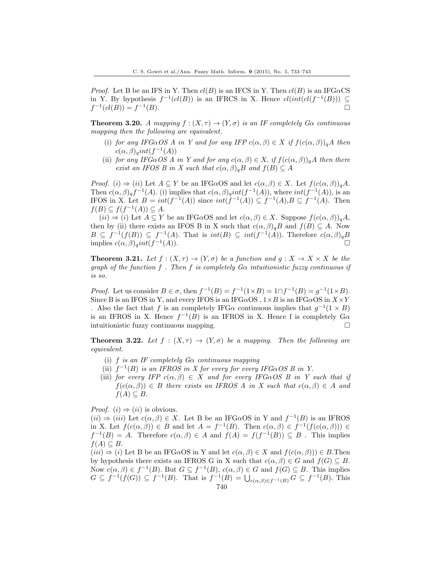*Proof.* Let B be an IFS in Y. Then  $cl(B)$  is an IFCS in Y. Then  $cl(B)$  is an IFG $\alpha$ CS in Y. By hypothesis  $f^{-1}(cl(B))$  is an IFRCS in X. Hence  $cl(int(cl(f^{-1}(B))) \subseteq$  $f^{-1}(cl(B)) = f^{-1}$  $(B)$ .

**Theorem 3.20.** *A mapping*  $f : (X, \tau) \to (Y, \sigma)$  *is an IF completely Ga continuous mapping then the following are equivalent.*

- (i) *for any IFG* $\alpha$ *OS A in Y and for any IFP*  $c(\alpha, \beta) \in X$  *if*  $f(c(\alpha, \beta))_qA$  *then*  $c(\alpha, \beta)$ <sub>*q</sub>int*( $f^{-1}(A)$ )</sub>
- (ii) *for any IFG* $\alpha$ *OS A in Y and for any*  $c(\alpha, \beta) \in X$ , *if*  $f(c(\alpha, \beta))_q$ *A then there exist an IFOS B in X such that*  $c(\alpha, \beta)$ <sub>*a</sub>B and*  $f(B) \subseteq A$ </sub>

*Proof.* (*i*)  $\Rightarrow$  (*ii*) Let  $A \subseteq Y$  be an IFG*α*OS and let  $c(\alpha, \beta) \in X$ . Let  $f(c(\alpha, \beta))_q A$ . Then  $c(\alpha, \beta)_{q} f^{-1}(A)$ . (i) implies that  $c(\alpha, \beta)_{q} int(f^{-1}(A))$ , where  $int(f^{-1}(A))$ , is an IFOS in X. Let  $B = int(f^{-1}(A))$  since  $int(f^{-1}(A)) \subseteq f^{-1}(A), B \subseteq f^{-1}(A)$ . Then  $f(B) \subseteq f(f^{-1}(A)) \subseteq A$ .

 $(ii) \Rightarrow (i)$  Let  $A \subseteq Y$  be an IFG $\alpha$ OS and let  $c(\alpha, \beta) \in X$ . Suppose  $f(c(\alpha, \beta))_q A$ , then by (ii) there exists an IFOS B in X such that  $c(\alpha, \beta)$ <sub>*q*</sub>*B* and  $f(B) \subseteq A$ . Now  $B \subseteq f^{-1}(f(B)) \subseteq f^{-1}(A)$ . That is  $int(B) \subseteq int(f^{-1}(A))$ . Therefore  $c(\alpha, \beta)_q B$ implies  $c(\alpha, \beta)$ <sub>*q</sub>int*(*f*<sup>-1</sup>)</sub> (*A*))*.* □

**Theorem 3.21.** *Let*  $f : (X, \tau) \to (Y, \sigma)$  *be a function and*  $g : X \to X \times X$  *be the graph of the function f . Then f is completely Gα intuitionistic fuzzy continuous if is so.*

*Proof.* Let us consider  $B \in \sigma$ , then  $f^{-1}(B) = f^{-1}(1 \times B) = 1 \cap f^{-1}(B) = g^{-1}(1 \times B)$ . Since B is an IFOS in Y, and every IFOS is an IFG $\alpha$ OS,  $1 \times B$  is an IFG $\alpha$ OS in  $X \times Y$ . Also the fact that *f* is an completely IFG $\alpha$  continuous implies that  $g^{-1}(1 \times B)$ is an IFROS in X. Hence  $f^{-1}(B)$  is an IFROS in X. Hence f is completely  $G\alpha$ intuitionistic fuzzy continuous mapping. □

**Theorem 3.22.** Let  $f : (X, \tau) \to (Y, \sigma)$  be a mapping. Then the following are *equivalent.*

- (i) *f is an IF completely Gα continuous mapping*
- (ii)  $f^{-1}(B)$  *is an IFROS in X for every for every IFG* $\alpha$ *OS B in Y.*
- (iii) *for every IFP*  $c(\alpha, \beta) \in X$  *and for every IFG* $\alpha$ *OS B in Y such that if*  $f(c(\alpha, \beta)) \in B$  *there exists an IFROS A in X such that*  $c(\alpha, \beta) \in A$  *and*  $f(A) \subseteq B$ *.*

*Proof.*  $(i) \Rightarrow (ii)$  is obvious.

 $(ii) \Rightarrow (iii)$  Let  $c(\alpha, \beta) \in X$ . Let B be an IFG $\alpha$ OS in Y and  $f^{-1}(B)$  is an IFROS in X. Let  $f(c(\alpha, \beta)) \in B$  and let  $A = f^{-1}(B)$ . Then  $c(\alpha, \beta) \in f^{-1}(f(c(\alpha, \beta))) \in$  $f^{-1}(B) = A$ . Therefore  $c(\alpha, \beta) \in A$  and  $f(A) = f(f^{-1}(B)) \subseteq B$ . This implies *f*(*A*)  $\subseteq$  *B*.

 $(iii) \Rightarrow (i)$  Let B be an IFG $\alpha$ OS in Y and let  $c(\alpha, \beta) \in X$  and  $f(c(\alpha, \beta)) \in B$ . Then by hypothesis there exists an IFROS G in X such that  $c(\alpha, \beta) \in G$  and  $f(G) \subseteq B$ . Now  $c(\alpha, \beta) \in f^{-1}(B)$ . But  $G \subseteq f^{-1}(B)$ ,  $c(\alpha, \beta) \in G$  and  $f(G) \subseteq B$ . This implies  $G \subseteq f^{-1}(f(G)) \subseteq f^{-1}(B)$ . That is  $f^{-1}(B) = \bigcup_{c(\alpha,\beta) \in f^{-1}(B)} G \subseteq f^{-1}(B)$ . This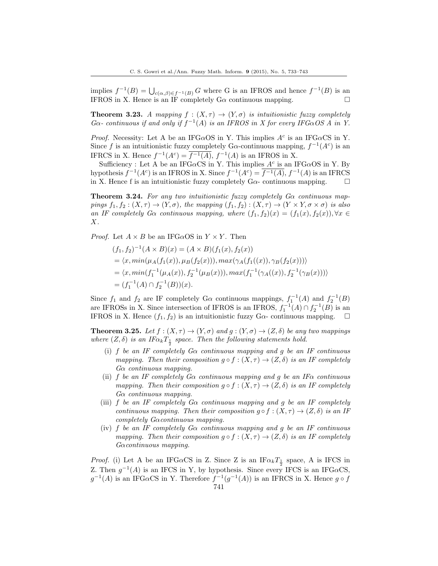implies  $f^{-1}(B) = \bigcup_{c(\alpha,\beta)\in f^{-1}(B)} G$  where G is an IFROS and hence  $f^{-1}(B)$  is an IFROS in X. Hence is an IF completely  $G\alpha$  continuous mapping.

**Theorem 3.23.** *A mapping*  $f : (X, \tau) \to (Y, \sigma)$  *is intuitionistic fuzzy completely*  $G\alpha$ - continuous if and only if  $f^{-1}(A)$  is an IFROS in X for every IFG $\alpha$ OS A in Y.

*Proof.* Necessity: Let A be an IFG $\alpha$ OS in Y. This implies  $A^c$  is an IFG $\alpha$ CS in Y. Since f is an intuitionistic fuzzy completely G $\alpha$ -continuous mapping,  $f^{-1}(A^c)$  is an IFRCS in X. Hence  $f^{-1}(A^c) = \overline{f^{-1}(A)}$ ,  $f^{-1}(A)$  is an IFROS in X.

Sufficiency : Let A be an IFG $\alpha$ CS in Y. This implies  $A^c$  is an IFG $\alpha$ OS in Y. By hypothesis  $f^{-1}(A^c)$  is an IFROS in X. Since  $f^{-1}(A^c) = \overline{f^{-1}(A)}$ ,  $f^{-1}(A)$  is an IFRCS in X. Hence f is an intuitionistic fuzzy completely  $G\alpha$ - continuous mapping.  $\Box$ 

**Theorem 3.24.** *For any two intuitionistic fuzzy completely Gα continuous mappings*  $f_1, f_2 : (X, \tau) \to (Y, \sigma)$ *, the mapping*  $(f_1, f_2) : (X, \tau) \to (Y \times Y, \sigma \times \sigma)$  *is also an IF completely G* $\alpha$  *continuous mapping, where*  $(f_1, f_2)(x) = (f_1(x), f_2(x))$ ,  $\forall x \in$ *X.*

*Proof.* Let  $A \times B$  be an IFG $\alpha$ OS in  $Y \times Y$ . Then

$$
(f_1, f_2)^{-1}(A \times B)(x) = (A \times B)(f_1(x), f_2(x))
$$
  
=  $\langle x, min(\mu_A(f_1(x)), \mu_B(f_2(x))), max(\gamma_A(f_1((x)), \gamma_B(f_2(x)))) \rangle$   
=  $\langle x, min(f_1^{-1}(\mu_A(x)), f_2^{-1}(\mu_B(x))), max(f_1^{-1}(\gamma_A((x)), f_2^{-1}(\gamma_B(x)))) \rangle$   
=  $(f_1^{-1}(A) \cap f_2^{-1}(B))(x).$ 

Since  $f_1$  and  $f_2$  are IF completely G $\alpha$  continuous mappings,  $f_1^{-1}(A)$  and  $f_2^{-1}(B)$ are IFROSs in X. Since intersection of IFROS is an IFROS,  $f_1^{-1}(A) \cap f_2^{-1}(B)$  is an IFROS in X. Hence  $(f_1, f_2)$  is an intuitionistic fuzzy  $Ga$ - continuous mapping.

**Theorem 3.25.** Let  $f : (X, \tau) \to (Y, \sigma)$  and  $g : (Y, \sigma) \to (Z, \delta)$  be any two mappings *where*  $(Z, \delta)$  *is an IF* $\alpha_k T_{\frac{1}{2}}$  *space. Then the following statements hold.* 

- (i) *f be an IF completely Gα continuous mapping and g be an IF continuous mapping. Then their composition*  $g \circ f : (X, \tau) \to (Z, \delta)$  *is an IF completely Gα continuous mapping.*
- (ii) *f be an IF completely Gα continuous mapping and g be an IFα continuous mapping. Then their composition*  $g \circ f : (X, \tau) \to (Z, \delta)$  *is an IF completely Gα continuous mapping.*
- (iii) *f be an IF completely Gα continuous mapping and g be an IF completely continuous mapping. Then their composition*  $g \circ f : (X, \tau) \to (Z, \delta)$  *is an IF completely Gαcontinuous mapping.*
- (iv) *f be an IF completely Gα continuous mapping and g be an IF continuous mapping. Then their composition*  $g \circ f : (X, \tau) \to (Z, \delta)$  *is an IF completely Gαcontinuous mapping.*

*Proof.* (i) Let A be an IFG $\alpha$ CS in Z. Since Z is an IF $\alpha_k T_{\frac{1}{2}}$  space, A is IFCS in Z. Then  $g^{-1}(A)$  is an IFCS in Y, by hypothesis. Since every IFCS is an IFG $\alpha$ CS,  $g^{-1}(A)$  is an IFG $\alpha$ CS in Y. Therefore  $f^{-1}(g^{-1}(A))$  is an IFRCS in X. Hence  $g \circ f$ 741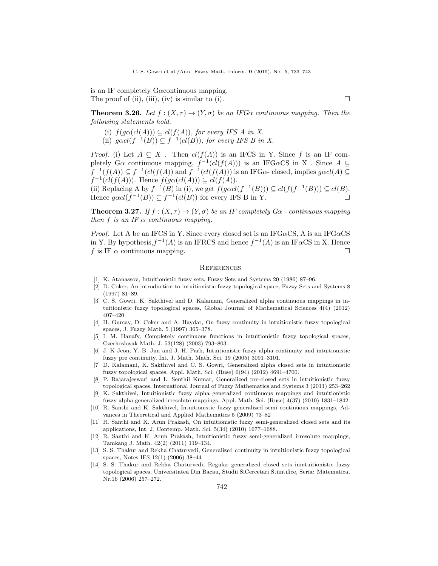is an IF completely G*α*continuous mapping. The proof of (ii), (iii), (iv) is similar to (i).  $\Box$ 

**Theorem 3.26.** *Let*  $f : (X, \tau) \to (Y, \sigma)$  *be an IFGa continuous mapping. Then the following statements hold.*

- (i)  $f(g\alpha(cl(A))) \subseteq cl(f(A))$ *, for every IFS A in X.*
- (ii)  $g \alpha cl(f^{-1}(B)) \subseteq f^{-1}(cl(B))$ , for every IFS B in X.

*Proof.* (i) Let  $A \subseteq X$ . Then  $cl(f(A))$  is an IFCS in Y. Since f is an IF completely  $G\alpha$  continuous mapping,  $f^{-1}(cl(f(A)))$  is an IFG $\alpha$ CS in X. Since  $A \subseteq$  $f^{-1}(f(A)) \subseteq f^{-1}(cl(f(A))$  and  $f^{-1}(cl(f(A)))$  is an IFG*α*- closed, implies  $g \alpha cl(A) \subseteq$ *f*<sup>-1</sup>(*cl*(*f*(*A*))). Hence *f*(*gα*(*cl*(*A*))) ⊆ *cl*(*f*(*A*)).

(ii) Replacing A by  $f^{-1}(B)$  in (i), we get  $f(g \alpha cl(f^{-1}(B))) \subseteq cl(f(f^{-1}(B))) \subseteq cl(B)$ . Hence  $g \alpha cl(f^{-1}(B)) \subseteq f^{-1}(cl(B))$  for every IFS B in Y. □

**Theorem 3.27.** *If*  $f : (X, \tau) \to (Y, \sigma)$  *be an IF completely G* $\alpha$  *- continuous mapping then*  $f$  *is an IF*  $\alpha$  *continuous mapping.* 

*Proof.* Let A be an IFCS in Y. Since every closed set is an IFG*α*CS, A is an IFG*α*CS in Y. By hypothesis, $f^{-1}(A)$  is an IFRCS and hence  $f^{-1}(A)$  is an IF $\alpha$ CS in X. Hence *f* is IF  $\alpha$  continuous mapping.

#### **REFERENCES**

- <span id="page-9-0"></span>[1] K. Atanassov, Intuitionistic fuzzy sets, Fuzzy Sets and Systems 20 (1986) 87–96.
- <span id="page-9-1"></span>[2] D. Coker, An introduction to intuitionistic fuzzy topological space, Fuzzy Sets and Systems 8 (1997) 81–89.
- <span id="page-9-12"></span>[3] C. S. Gowri, K. Sakthivel and D. Kalamani, Generalized alpha continuous mappings in intuitionistic fuzzy topological spaces, Global Journal of Mathematical Sciences 4(4) (2012) 407–420
- <span id="page-9-9"></span>[4] H. Gurcay, D. Coker and A. Haydar, On fuzzy continuity in intuitionistic fuzzy topological spaces, J. Fuzzy Math. 5 (1997) 365–378.
- <span id="page-9-3"></span>[5] I. M. Hanafy, Completely continuous functions in intuitionistic fuzzy topological spaces, Czechoslovak Math. J. 53(128) (2003) 793–803.
- <span id="page-9-2"></span>[6] J. K Jeon, Y. B. Jun and J. H. Park, Intuitionistic fuzzy alpha continuity and intuitionistic fuzzy pre continuity, Int. J. Math. Math. Sci. 19 (2005) 3091–3101.
- <span id="page-9-4"></span>[7] D. Kalamani, K. Sakthivel and C. S. Gowri, Generalized alpha closed sets in intuitionistic fuzzy topological spaces, Appl. Math. Sci. (Ruse) 6(94) (2012) 4691–4700.
- <span id="page-9-8"></span>[8] P. Rajarajeswari and L. Senthil Kumar, Generalized pre-closed sets in intuitionistic fuzzy topological spaces, International Journal of Fuzzy Mathematics and Systems 3 (2011) 253–262
- <span id="page-9-13"></span>[9] K. Sakthivel, Intuitionistic fuzzy alpha generalized continuous mappings and intuitionistic fuzzy alpha generalized irresolute mappings, Appl. Math. Sci. (Ruse) 4(37) (2010) 1831–1842.
- <span id="page-9-7"></span>[10] R. Santhi and K. Sakthivel, Intuitionistic fuzzy generalized semi continuous mappings, Advances in Theoretical and Applied Mathematics 5 (2009) 73–82
- <span id="page-9-6"></span>[11] R. Santhi and K. Arun Prakash, On intuitionistic fuzzy semi-generalized closed sets and its applications, Int. J. Contemp. Math. Sci. 5(34) (2010) 1677–1688.
- <span id="page-9-11"></span>[12] R. Santhi and K. Arun Prakash, Intuitionistic fuzzy semi-generalized irresolute mappings, Tamkang J. Math. 42(2) (2011) 119–134.
- <span id="page-9-10"></span>[13] S. S. Thakur and Rekha Chaturvedi, Generalized continuity in intuitionistic fuzzy topological spaces, Notes IFS 12(1) (2006) 38–44
- <span id="page-9-5"></span>[14] S. S. Thakur and Rekha Chaturvedi, Regular generalized closed sets inintuitionistic fuzzy topological spaces, Universitatea Din Bacau, Studii SiCercetari Stiintifice, Seria: Matematica, Nr.16 (2006) 257–272.